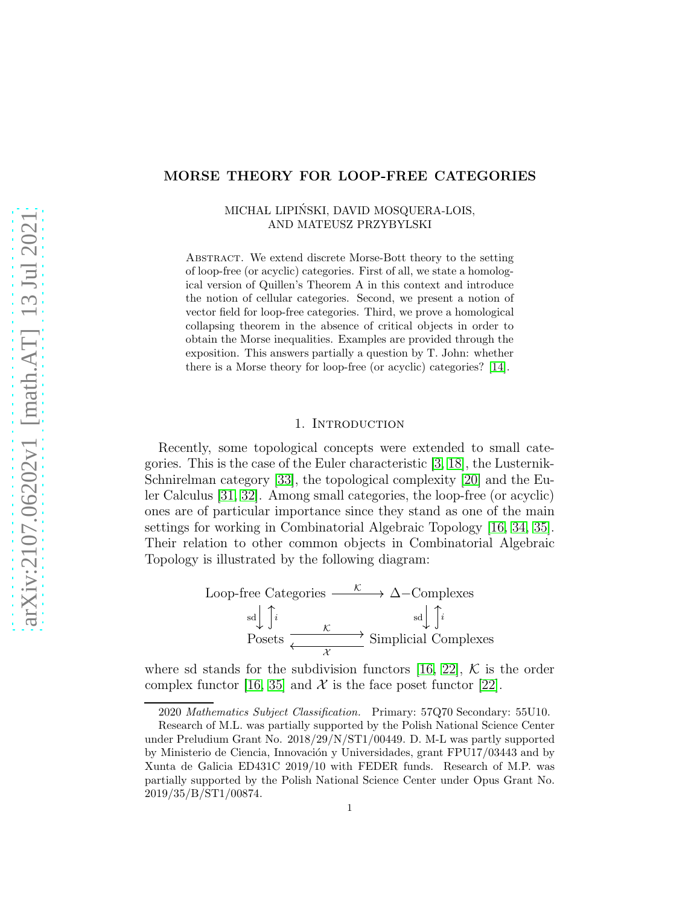# MORSE THEORY FOR LOOP-FREE CATEGORIES

### MICHAŁ LIPIŃSKI, DAVID MOSQUERA-LOIS, AND MATEUSZ PRZYBYLSKI

Abstract. We extend discrete Morse-Bott theory to the setting of loop-free (or acyclic) categories. First of all, we state a homological version of Quillen's Theorem A in this context and introduce the notion of cellular categories. Second, we present a notion of vector field for loop-free categories. Third, we prove a homological collapsing theorem in the absence of critical objects in order to obtain the Morse inequalities. Examples are provided through the exposition. This answers partially a question by T. John: whether there is a Morse theory for loop-free (or acyclic) categories? [\[14\]](#page-10-0).

#### 1. Introduction

Recently, some topological concepts were extended to small categories. This is the case of the Euler characteristic [\[3,](#page-10-1) [18\]](#page-10-2), the Lusternik-Schnirelman category [\[33\]](#page-11-0), the topological complexity [\[20\]](#page-10-3) and the Euler Calculus [\[31,](#page-11-1) [32\]](#page-11-2). Among small categories, the loop-free (or acyclic) ones are of particular importance since they stand as one of the main settings for working in Combinatorial Algebraic Topology [\[16,](#page-10-4) [34,](#page-11-3) [35\]](#page-11-4). Their relation to other common objects in Combinatorial Algebraic Topology is illustrated by the following diagram:

Loop-free Categories 
$$
\xrightarrow{\kappa} \Delta
$$
-Complexes  
\n
$$
\xrightarrow{\text{sd}} \int_{i}^{i} i \xrightarrow{\kappa} \text{Simplicial Complexes}
$$
\n
$$
\xrightarrow{\chi} \text{Simplicial Complexes}
$$

where sd stands for the subdivision functors [\[16,](#page-10-4) [22\]](#page-10-5),  $K$  is the order complex functor [\[16,](#page-10-4) [35\]](#page-11-4) and  $\mathcal X$  is the face poset functor [\[22\]](#page-10-5).

<sup>2020</sup> Mathematics Subject Classification. Primary: 57Q70 Secondary: 55U10.

Research of M.L. was partially supported by the Polish National Science Center under Preludium Grant No. 2018/29/N/ST1/00449. D. M-L was partly supported by Ministerio de Ciencia, Innovación y Universidades, grant FPU17/03443 and by Xunta de Galicia ED431C 2019/10 with FEDER funds. Research of M.P. was partially supported by the Polish National Science Center under Opus Grant No. 2019/35/B/ST1/00874.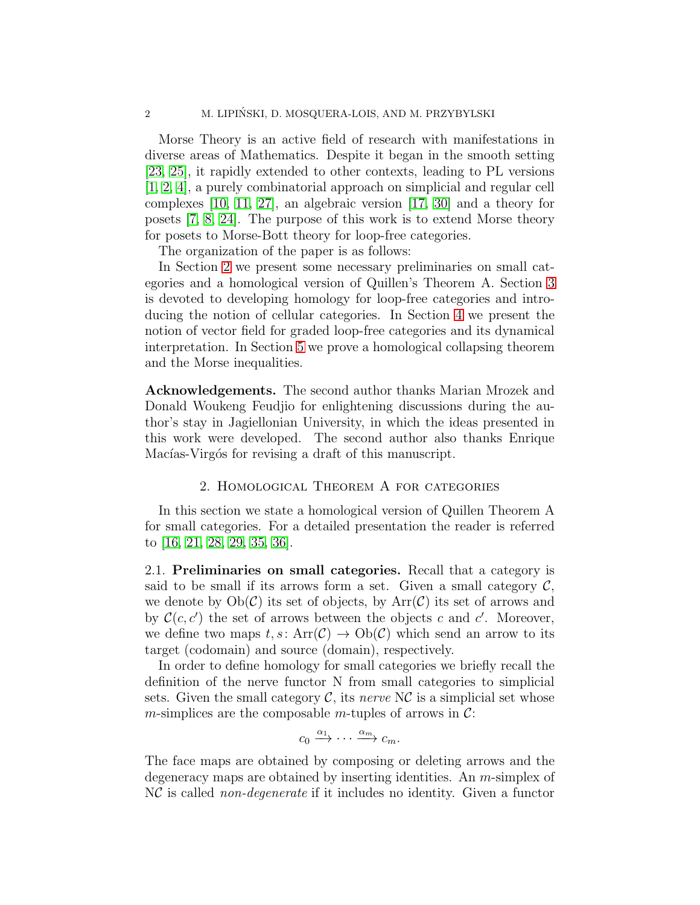Morse Theory is an active field of research with manifestations in diverse areas of Mathematics. Despite it began in the smooth setting [\[23,](#page-10-6) [25\]](#page-11-5), it rapidly extended to other contexts, leading to PL versions [\[1,](#page-9-0) [2,](#page-10-7) [4\]](#page-10-8), a purely combinatorial approach on simplicial and regular cell complexes [\[10,](#page-10-9) [11,](#page-10-10) [27\]](#page-11-6), an algebraic version [\[17,](#page-10-11) [30\]](#page-11-7) and a theory for posets [\[7,](#page-10-12) [8,](#page-10-13) [24\]](#page-10-14). The purpose of this work is to extend Morse theory for posets to Morse-Bott theory for loop-free categories.

The organization of the paper is as follows:

In Section [2](#page-1-0) we present some necessary preliminaries on small categories and a homological version of Quillen's Theorem A. Section [3](#page-2-0) is devoted to developing homology for loop-free categories and introducing the notion of cellular categories. In Section [4](#page-4-0) we present the notion of vector field for graded loop-free categories and its dynamical interpretation. In Section [5](#page-7-0) we prove a homological collapsing theorem and the Morse inequalities.

Acknowledgements. The second author thanks Marian Mrozek and Donald Woukeng Feudjio for enlightening discussions during the author's stay in Jagiellonian University, in which the ideas presented in this work were developed. The second author also thanks Enrique Macías-Virgós for revising a draft of this manuscript.

### 2. Homological Theorem A for categories

<span id="page-1-0"></span>In this section we state a homological version of Quillen Theorem A for small categories. For a detailed presentation the reader is referred to [\[16,](#page-10-4) [21,](#page-10-15) [28,](#page-11-8) [29,](#page-11-9) [35,](#page-11-4) [36\]](#page-11-10).

2.1. Preliminaries on small categories. Recall that a category is said to be small if its arrows form a set. Given a small category  $\mathcal{C}$ , we denote by  $Ob(\mathcal{C})$  its set of objects, by  $Arr(\mathcal{C})$  its set of arrows and by  $\mathcal{C}(c, c')$  the set of arrows between the objects c and c'. Moreover, we define two maps  $t, s: \text{Arr}(\mathcal{C}) \to \text{Ob}(\mathcal{C})$  which send an arrow to its target (codomain) and source (domain), respectively.

In order to define homology for small categories we briefly recall the definition of the nerve functor N from small categories to simplicial sets. Given the small category  $\mathcal{C}$ , its nerve N $\mathcal{C}$  is a simplicial set whose *m*-simplices are the composable *m*-tuples of arrows in  $\mathcal{C}$ :

$$
c_0 \xrightarrow{\alpha_1} \cdots \xrightarrow{\alpha_m} c_m.
$$

The face maps are obtained by composing or deleting arrows and the degeneracy maps are obtained by inserting identities. An m-simplex of NC is called non-degenerate if it includes no identity. Given a functor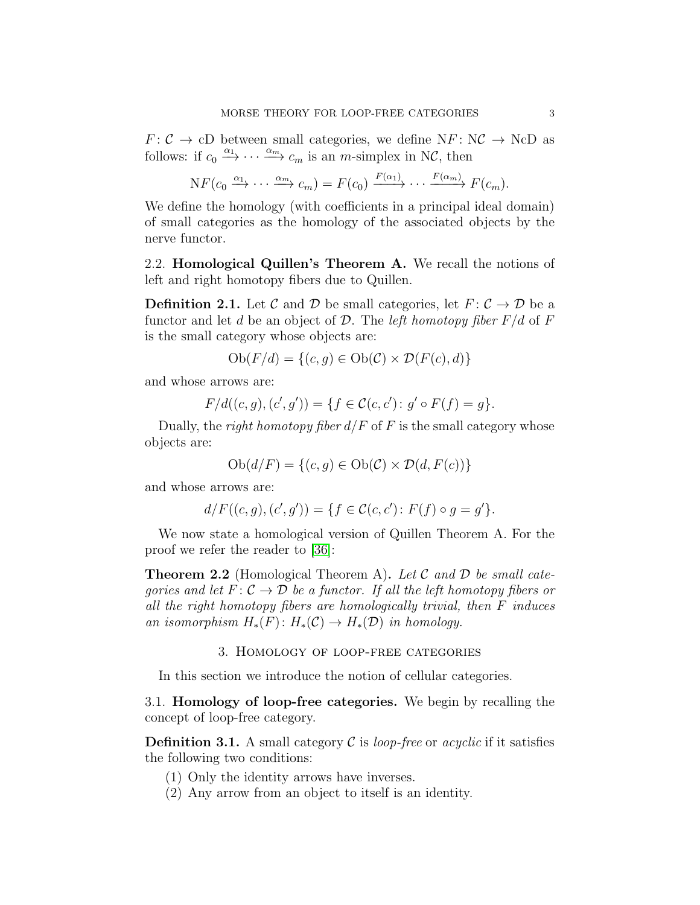$F: \mathcal{C} \to cD$  between small categories, we define  $NF: \mathcal{NC} \to \mathcal{NC}D$  as follows: if  $c_0 \xrightarrow{\alpha_1} \cdots \xrightarrow{\alpha_m} c_m$  is an *m*-simplex in NC, then

$$
\mathrm{N} F(c_0 \xrightarrow{\alpha_1} \cdots \xrightarrow{\alpha_m} c_m) = F(c_0) \xrightarrow{F(\alpha_1)} \cdots \xrightarrow{F(\alpha_m)} F(c_m).
$$

We define the homology (with coefficients in a principal ideal domain) of small categories as the homology of the associated objects by the nerve functor.

2.2. Homological Quillen's Theorem A. We recall the notions of left and right homotopy fibers due to Quillen.

**Definition 2.1.** Let C and D be small categories, let  $F: \mathcal{C} \to \mathcal{D}$  be a functor and let d be an object of  $\mathcal D$ . The *left homotopy fiber*  $F/d$  of  $F$ is the small category whose objects are:

$$
Ob(F/d) = \{(c, g) \in Ob(\mathcal{C}) \times \mathcal{D}(F(c), d)\}
$$

and whose arrows are:

$$
F/d((c,g),(c',g')) = \{ f \in \mathcal{C}(c,c') \colon g' \circ F(f) = g \}.
$$

Dually, the right homotopy fiber  $d/F$  of F is the small category whose objects are:

$$
Ob(d/F) = \{(c, g) \in Ob(\mathcal{C}) \times \mathcal{D}(d, F(c))\}
$$

and whose arrows are:

$$
d/F((c,g),(c',g')) = \{ f \in \mathcal{C}(c,c') \colon F(f) \circ g = g' \}.
$$

We now state a homological version of Quillen Theorem A. For the proof we refer the reader to [\[36\]](#page-11-10):

<span id="page-2-1"></span>**Theorem 2.2** (Homological Theorem A). Let  $C$  and  $D$  be small categories and let  $F: \mathcal{C} \to \mathcal{D}$  be a functor. If all the left homotopy fibers or all the right homotopy fibers are homologically trivial, then F induces an isomorphism  $H_*(F) : H_*(\mathcal{C}) \to H_*(\mathcal{D})$  in homology.

### 3. Homology of loop-free categories

<span id="page-2-0"></span>In this section we introduce the notion of cellular categories.

3.1. Homology of loop-free categories. We begin by recalling the concept of loop-free category.

**Definition 3.1.** A small category C is loop-free or acyclic if it satisfies the following two conditions:

(1) Only the identity arrows have inverses.

(2) Any arrow from an object to itself is an identity.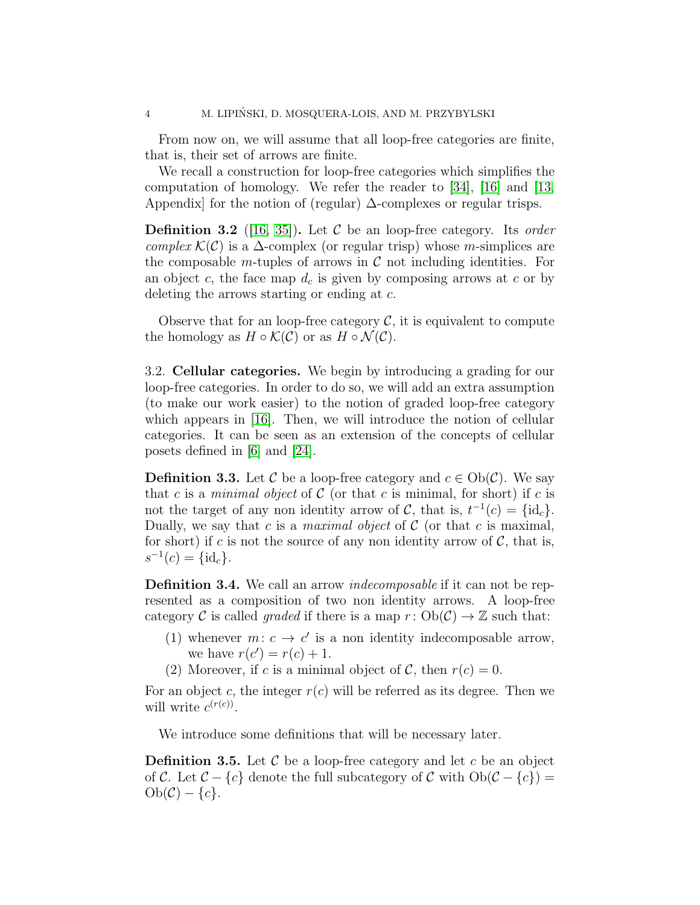From now on, we will assume that all loop-free categories are finite, that is, their set of arrows are finite.

We recall a construction for loop-free categories which simplifies the computation of homology. We refer the reader to [\[34\]](#page-11-3), [\[16\]](#page-10-4) and [\[13,](#page-10-16) Appendix] for the notion of (regular)  $\Delta$ -complexes or regular trisps.

**Definition 3.2** ([\[16,](#page-10-4) [35\]](#page-11-4)). Let C be an loop-free category. Its order complex  $\mathcal{K}(\mathcal{C})$  is a  $\Delta$ -complex (or regular trisp) whose m-simplices are the composable m-tuples of arrows in  $\mathcal C$  not including identities. For an object c, the face map  $d_c$  is given by composing arrows at c or by deleting the arrows starting or ending at c.

Observe that for an loop-free category  $\mathcal{C}$ , it is equivalent to compute the homology as  $H \circ \mathcal{K}(\mathcal{C})$  or as  $H \circ \mathcal{N}(\mathcal{C})$ .

3.2. Cellular categories. We begin by introducing a grading for our loop-free categories. In order to do so, we will add an extra assumption (to make our work easier) to the notion of graded loop-free category which appears in [\[16\]](#page-10-4). Then, we will introduce the notion of cellular categories. It can be seen as an extension of the concepts of cellular posets defined in [\[6\]](#page-10-17) and [\[24\]](#page-10-14).

**Definition 3.3.** Let C be a loop-free category and  $c \in Ob(\mathcal{C})$ . We say that c is a *minimal object* of C (or that c is minimal, for short) if c is not the target of any non identity arrow of C, that is,  $t^{-1}(c) = \{\mathrm{id}_c\}.$ Dually, we say that c is a *maximal object* of  $C$  (or that c is maximal, for short) if c is not the source of any non identity arrow of  $\mathcal{C}$ , that is,  $s^{-1}(c) = \{\mathrm{id}_c\}.$ 

**Definition 3.4.** We call an arrow *indecomposable* if it can not be represented as a composition of two non identity arrows. A loop-free category C is called *graded* if there is a map  $r: Ob(\mathcal{C}) \to \mathbb{Z}$  such that:

- (1) whenever  $m: c \to c'$  is a non identity indecomposable arrow, we have  $r(c') = r(c) + 1$ .
- (2) Moreover, if c is a minimal object of C, then  $r(c) = 0$ .

For an object c, the integer  $r(c)$  will be referred as its degree. Then we will write  $c^{(r(c))}$ .

We introduce some definitions that will be necessary later.

**Definition 3.5.** Let  $\mathcal{C}$  be a loop-free category and let c be an object of C. Let  $C - \{c\}$  denote the full subcategory of C with  $Ob(C - \{c\}) =$  $Ob(\mathcal{C}) - \{c\}.$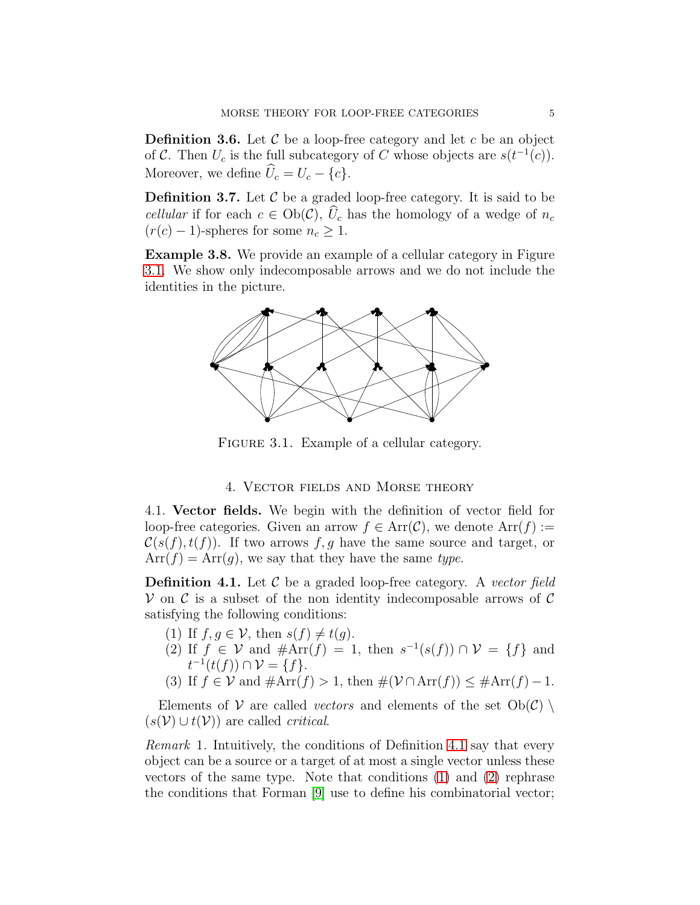**Definition 3.6.** Let  $\mathcal{C}$  be a loop-free category and let  $c$  be an object of C. Then  $U_c$  is the full subcategory of C whose objects are  $s(t^{-1}(c))$ . Moreover, we define  $\hat{U}_c = U_c - \{c\}.$ 

**Definition 3.7.** Let  $\mathcal C$  be a graded loop-free category. It is said to be cellular if for each  $c \in Ob(\mathcal{C}), \hat{U}_c$  has the homology of a wedge of  $n_c$  $(r(c) - 1)$ -spheres for some  $n_c \geq 1$ .

<span id="page-4-6"></span><span id="page-4-1"></span>Example 3.8. We provide an example of a cellular category in Figure [3.1.](#page-4-1) We show only indecomposable arrows and we do not include the identities in the picture.



FIGURE 3.1. Example of a cellular category.

## 4. Vector fields and Morse theory

<span id="page-4-0"></span>4.1. Vector fields. We begin with the definition of vector field for loop-free categories. Given an arrow  $f \in \text{Arr}(\mathcal{C})$ , we denote  $\text{Arr}(f) :=$  $\mathcal{C}(s(f), t(f))$ . If two arrows f, g have the same source and target, or  $Arr(f) = Arr(g)$ , we say that they have the same type.

<span id="page-4-2"></span>**Definition 4.1.** Let  $\mathcal C$  be a graded loop-free category. A vector field  $\mathcal V$  on  $\mathcal C$  is a subset of the non identity indecomposable arrows of  $\mathcal C$ satisfying the following conditions:

- <span id="page-4-4"></span><span id="page-4-3"></span>(1) If  $f, g \in V$ , then  $s(f) \neq t(g)$ .
- (2) If  $f \in V$  and  $\#\text{Arr}(f) = 1$ , then  $s^{-1}(s(f)) \cap V = \{f\}$  and  $t^{-1}(t(f)) \cap \mathcal{V} = \{f\}.$
- <span id="page-4-5"></span>(3) If  $f \in V$  and  $\#\text{Arr}(f) > 1$ , then  $\#(\mathcal{V} \cap \text{Arr}(f)) \leq \#\text{Arr}(f) - 1$ .

Elements of V are called *vectors* and elements of the set  $Ob(\mathcal{C})$  $(s(\mathcal{V}) \cup t(\mathcal{V}))$  are called *critical*.

Remark 1. Intuitively, the conditions of Definition [4.1](#page-4-2) say that every object can be a source or a target of at most a single vector unless these vectors of the same type. Note that conditions [\(1\)](#page-4-3) and [\(2\)](#page-4-4) rephrase the conditions that Forman [\[9\]](#page-10-18) use to define his combinatorial vector;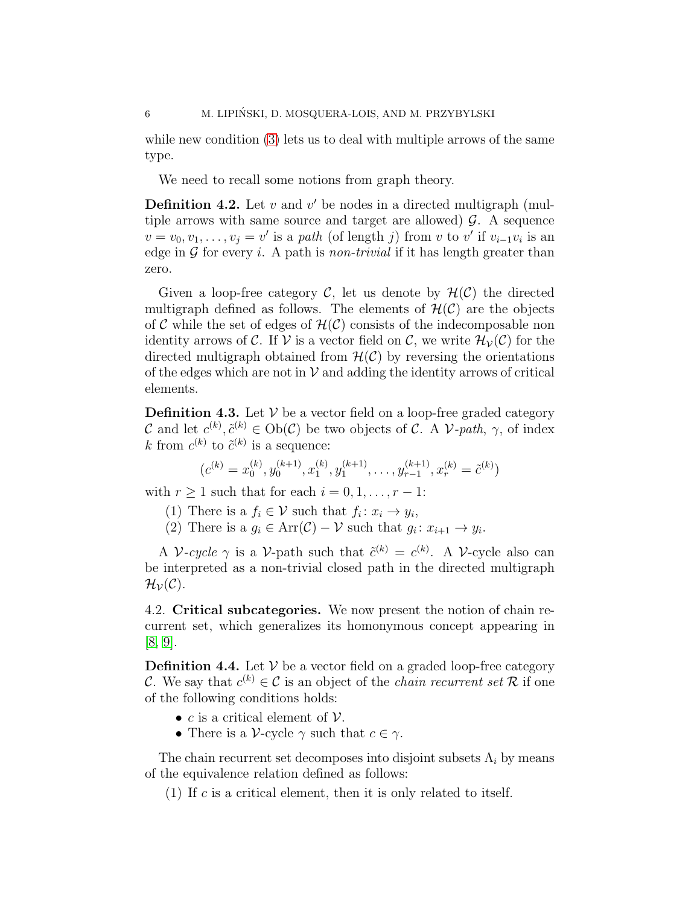while new condition [\(3\)](#page-4-5) lets us to deal with multiple arrows of the same type.

We need to recall some notions from graph theory.

**Definition 4.2.** Let  $v$  and  $v'$  be nodes in a directed multigraph (multiple arrows with same source and target are allowed)  $\mathcal{G}$ . A sequence  $v = v_0, v_1, \ldots, v_j = v'$  is a path (of length j) from v to v' if  $v_{i-1}v_i$  is an edge in  $\mathcal G$  for every *i*. A path is *non-trivial* if it has length greater than zero.

Given a loop-free category  $\mathcal{C}$ , let us denote by  $\mathcal{H}(\mathcal{C})$  the directed multigraph defined as follows. The elements of  $\mathcal{H}(\mathcal{C})$  are the objects of C while the set of edges of  $\mathcal{H}(\mathcal{C})$  consists of the indecomposable non identity arrows of C. If V is a vector field on C, we write  $\mathcal{H}_{\mathcal{V}}(\mathcal{C})$  for the directed multigraph obtained from  $\mathcal{H}(\mathcal{C})$  by reversing the orientations of the edges which are not in  $\mathcal V$  and adding the identity arrows of critical elements.

**Definition 4.3.** Let  $V$  be a vector field on a loop-free graded category C and let  $c^{(k)}$ ,  $\tilde{c}^{(k)} \in Ob(\mathcal{C})$  be two objects of C. A V-path,  $\gamma$ , of index k from  $c^{(k)}$  to  $\tilde{c}^{(k)}$  is a sequence:

$$
(c^{(k)} = x_0^{(k)}, y_0^{(k+1)}, x_1^{(k)}, y_1^{(k+1)}, \dots, y_{r-1}^{(k+1)}, x_r^{(k)} = \tilde{c}^{(k)})
$$

with  $r \geq 1$  such that for each  $i = 0, 1, \ldots, r - 1$ :

(1) There is a  $f_i \in \mathcal{V}$  such that  $f_i \colon x_i \to y_i$ ,

(2) There is a  $g_i \in \text{Arr}(\mathcal{C}) - \mathcal{V}$  such that  $g_i \colon x_{i+1} \to y_i$ .

A V-cycle  $\gamma$  is a V-path such that  $\tilde{c}^{(k)} = c^{(k)}$ . A V-cycle also can be interpreted as a non-trivial closed path in the directed multigraph  $\mathcal{H}_{\mathcal{V}}(\mathcal{C}).$ 

4.2. Critical subcategories. We now present the notion of chain recurrent set, which generalizes its homonymous concept appearing in [\[8,](#page-10-13) [9\]](#page-10-18).

**Definition 4.4.** Let  $V$  be a vector field on a graded loop-free category C. We say that  $c^{(k)} \in \mathcal{C}$  is an object of the *chain recurrent set* R if one of the following conditions holds:

- c is a critical element of  $\mathcal V$ .
- There is a V-cycle  $\gamma$  such that  $c \in \gamma$ .

The chain recurrent set decomposes into disjoint subsets  $\Lambda_i$  by means of the equivalence relation defined as follows:

(1) If c is a critical element, then it is only related to itself.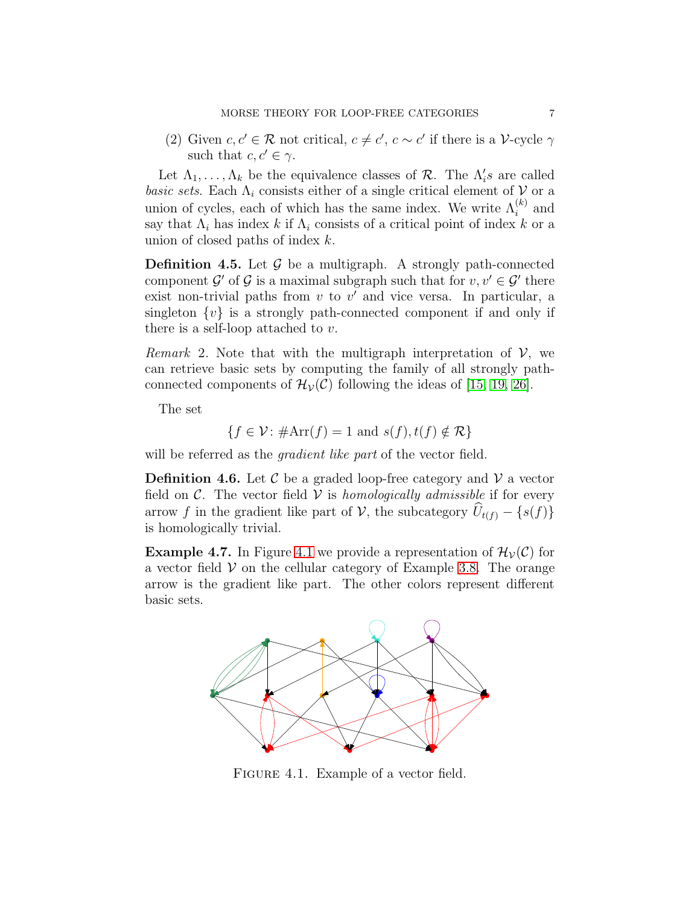(2) Given  $c, c' \in \mathcal{R}$  not critical,  $c \neq c'$ ,  $c \sim c'$  if there is a V-cycle  $\gamma$ such that  $c, c' \in \gamma$ .

Let  $\Lambda_1, \ldots, \Lambda_k$  be the equivalence classes of  $\mathcal{R}$ . The  $\Lambda'_i s$  are called basic sets. Each  $\Lambda_i$  consists either of a single critical element of  $\mathcal V$  or a union of cycles, each of which has the same index. We write  $\Lambda_i^{(k)}$  and say that  $\Lambda_i$  has index k if  $\Lambda_i$  consists of a critical point of index k or a union of closed paths of index k.

**Definition 4.5.** Let  $\mathcal{G}$  be a multigraph. A strongly path-connected component  $\mathcal{G}'$  of  $\mathcal{G}$  is a maximal subgraph such that for  $v, v' \in \mathcal{G}'$  there exist non-trivial paths from  $v$  to  $v'$  and vice versa. In particular, a singleton  $\{v\}$  is a strongly path-connected component if and only if there is a self-loop attached to  $v$ .

*Remark* 2. Note that with the multigraph interpretation of  $V$ , we can retrieve basic sets by computing the family of all strongly pathconnected components of  $\mathcal{H}_{\mathcal{V}}(\mathcal{C})$  following the ideas of [\[15,](#page-10-19) [19,](#page-10-20) [26\]](#page-11-11).

The set

$$
\{f \in \mathcal{V} : \#\text{Arr}(f) = 1 \text{ and } s(f), t(f) \notin \mathcal{R}\}
$$

will be referred as the *gradient like part* of the vector field.

**Definition 4.6.** Let C be a graded loop-free category and V a vector field on  $\mathcal{C}$ . The vector field  $\mathcal{V}$  is homologically admissible if for every arrow f in the gradient like part of V, the subcategory  $\widehat{U}_{t(f)} - \{s(f)\}\$ is homologically trivial.

<span id="page-6-1"></span><span id="page-6-0"></span>**Example 4.7.** In Figure [4.1](#page-6-0) we provide a representation of  $\mathcal{H}_{\mathcal{V}}(\mathcal{C})$  for a vector field  $V$  on the cellular category of Example [3.8.](#page-4-6) The orange arrow is the gradient like part. The other colors represent different basic sets.



FIGURE 4.1. Example of a vector field.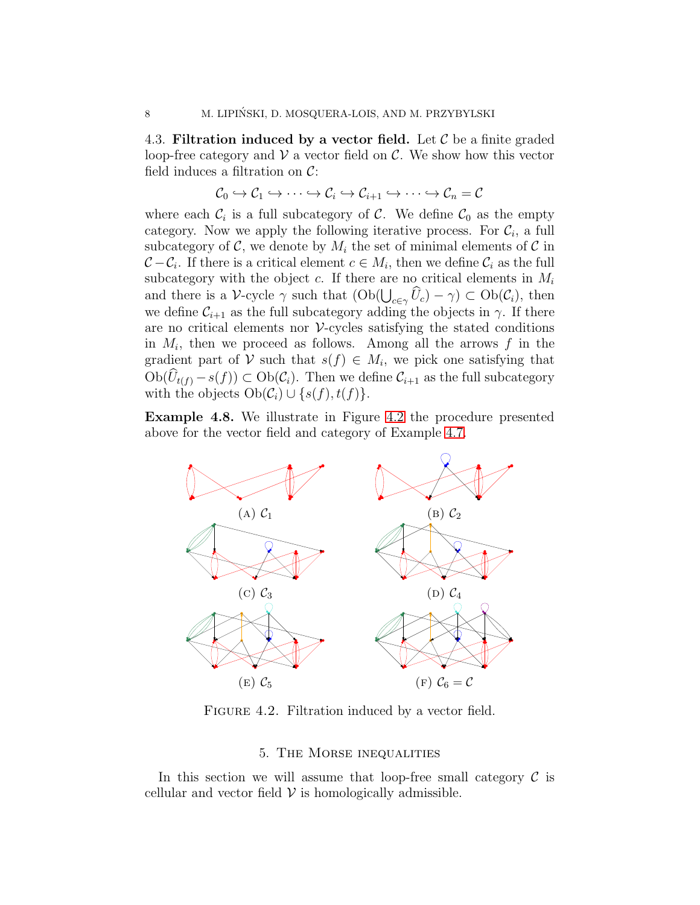<span id="page-7-2"></span>4.3. Filtration induced by a vector field. Let  $\mathcal C$  be a finite graded loop-free category and  $V$  a vector field on  $C$ . We show how this vector field induces a filtration on  $\mathcal{C}$ :

$$
\mathcal{C}_0 \hookrightarrow \mathcal{C}_1 \hookrightarrow \cdots \hookrightarrow \mathcal{C}_i \hookrightarrow \mathcal{C}_{i+1} \hookrightarrow \cdots \hookrightarrow \mathcal{C}_n = \mathcal{C}
$$

where each  $\mathcal{C}_i$  is a full subcategory of  $\mathcal{C}$ . We define  $\mathcal{C}_0$  as the empty category. Now we apply the following iterative process. For  $\mathcal{C}_i$ , a full subcategory of C, we denote by  $M_i$  the set of minimal elements of C in  $C - C_i$ . If there is a critical element  $c \in M_i$ , then we define  $C_i$  as the full subcategory with the object c. If there are no critical elements in  $M_i$ and there is a V-cycle  $\gamma$  such that  $(Ob(\bigcup_{c\in\gamma}\widehat{U}_c) - \gamma) \subset Ob(\mathcal{C}_i)$ , then we define  $C_{i+1}$  as the full subcategory adding the objects in  $\gamma$ . If there are no critical elements nor  $\mathcal V$ -cycles satisfying the stated conditions in  $M_i$ , then we proceed as follows. Among all the arrows f in the gradient part of V such that  $s(f) \in M_i$ , we pick one satisfying that  $Ob(U_{t(f)} - s(f)) \subset Ob(C_i)$ . Then we define  $C_{i+1}$  as the full subcategory with the objects  $Ob(C_i) \cup \{s(f),t(f)\}.$ 

<span id="page-7-1"></span>Example 4.8. We illustrate in Figure [4.2](#page-7-1) the procedure presented above for the vector field and category of Example [4.7.](#page-6-1)



FIGURE 4.2. Filtration induced by a vector field.

## 5. The Morse inequalities

<span id="page-7-0"></span>In this section we will assume that loop-free small category  $\mathcal C$  is cellular and vector field  $V$  is homologically admissible.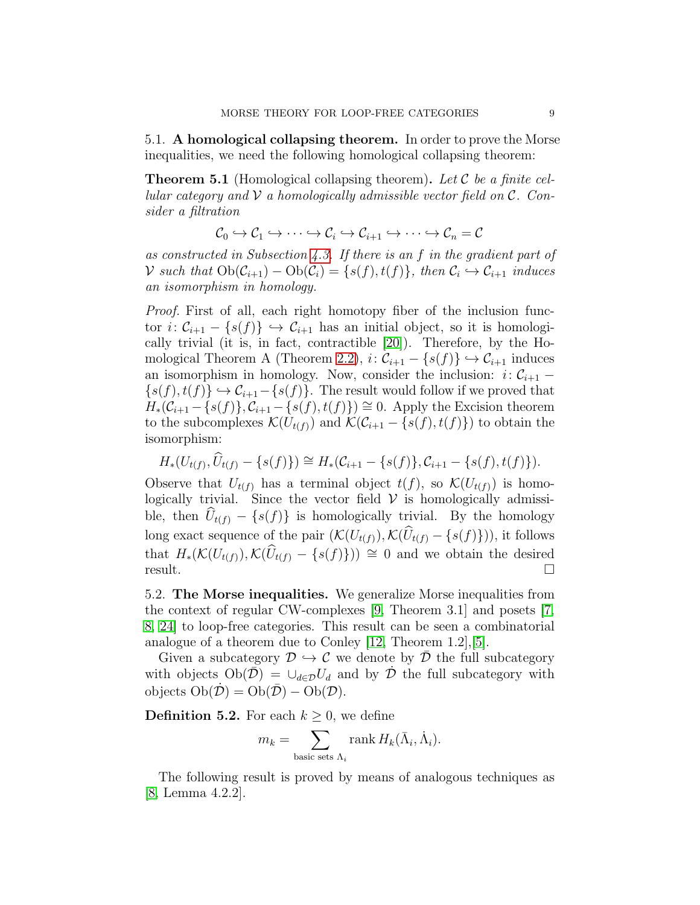5.1. A homological collapsing theorem. In order to prove the Morse inequalities, we need the following homological collapsing theorem:

<span id="page-8-0"></span>**Theorem 5.1** (Homological collapsing theorem). Let C be a finite cellular category and  $\mathcal V$  a homologically admissible vector field on  $\mathcal C$ . Consider a filtration

$$
\mathcal{C}_0 \hookrightarrow \mathcal{C}_1 \hookrightarrow \cdots \hookrightarrow \mathcal{C}_i \hookrightarrow \mathcal{C}_{i+1} \hookrightarrow \cdots \hookrightarrow \mathcal{C}_n = \mathcal{C}
$$

as constructed in Subsection [4.3.](#page-7-2) If there is an f in the gradient part of V such that  $Ob(C_{i+1}) - Ob(C_i) = \{s(f), t(f)\}\$ , then  $C_i \hookrightarrow C_{i+1}$  induces an isomorphism in homology.

Proof. First of all, each right homotopy fiber of the inclusion functor  $i: \mathcal{C}_{i+1} - \{s(f)\} \hookrightarrow \mathcal{C}_{i+1}$  has an initial object, so it is homologically trivial (it is, in fact, contractible [\[20\]](#page-10-3)). Therefore, by the Ho-mological Theorem A (Theorem [2.2\)](#page-2-1),  $i: \mathcal{C}_{i+1} - \{s(f)\} \hookrightarrow \mathcal{C}_{i+1}$  induces an isomorphism in homology. Now, consider the inclusion:  $i: \mathcal{C}_{i+1}$  –  $\{s(f), t(f)\}\hookrightarrow \mathcal{C}_{i+1} - \{s(f)\}\.$  The result would follow if we proved that  $H_*(\mathcal{C}_{i+1} - \{s(f)\}, \mathcal{C}_{i+1} - \{s(f), t(f)\}) \cong 0$ . Apply the Excision theorem to the subcomplexes  $\mathcal{K}(U_{t(f)})$  and  $\mathcal{K}(\mathcal{C}_{i+1} - \{s(f), t(f)\})$  to obtain the isomorphism:

$$
H_*(U_{t(f)}, \widehat{U}_{t(f)} - \{s(f)\}) \cong H_*(\mathcal{C}_{i+1} - \{s(f)\}, \mathcal{C}_{i+1} - \{s(f), t(f)\}).
$$

Observe that  $U_{t(f)}$  has a terminal object  $t(f)$ , so  $\mathcal{K}(U_{t(f)})$  is homologically trivial. Since the vector field  $V$  is homologically admissible, then  $U_{t(f)} - \{s(f)\}\$ is homologically trivial. By the homology long exact sequence of the pair  $(\mathcal{K}(U_{t(f)}), \mathcal{K}(\widehat{U}_{t(f)} - \{s(f)\}))$ , it follows that  $H_*(\mathcal{K}(U_{t(f)}), \mathcal{K}(\hat{U}_{t(f)} - \{s(f)\})) \cong 0$  and we obtain the desired  $result.$ 

5.2. The Morse inequalities. We generalize Morse inequalities from the context of regular CW-complexes [\[9,](#page-10-18) Theorem 3.1] and posets [\[7,](#page-10-12) [8,](#page-10-13) [24\]](#page-10-14) to loop-free categories. This result can be seen a combinatorial analogue of a theorem due to Conley [\[12,](#page-10-21) Theorem 1.2],[\[5\]](#page-10-22).

Given a subcategory  $\mathcal{D} \hookrightarrow \mathcal{C}$  we denote by  $\mathcal{D}$  the full subcategory with objects  $Ob(\overline{\mathcal{D}}) = \bigcup_{d \in \mathcal{D}} U_d$  and by  $\mathcal D$  the full subcategory with objects  $Ob(\mathcal{D}) = Ob(\overline{\mathcal{D}}) - Ob(\mathcal{D}).$ 

<span id="page-8-1"></span>**Definition 5.2.** For each  $k \geq 0$ , we define

$$
m_k = \sum_{\text{basic sets }\Lambda_i} \text{rank } H_k(\bar{\Lambda}_i, \dot{\Lambda}_i).
$$

The following result is proved by means of analogous techniques as [\[8,](#page-10-13) Lemma 4.2.2].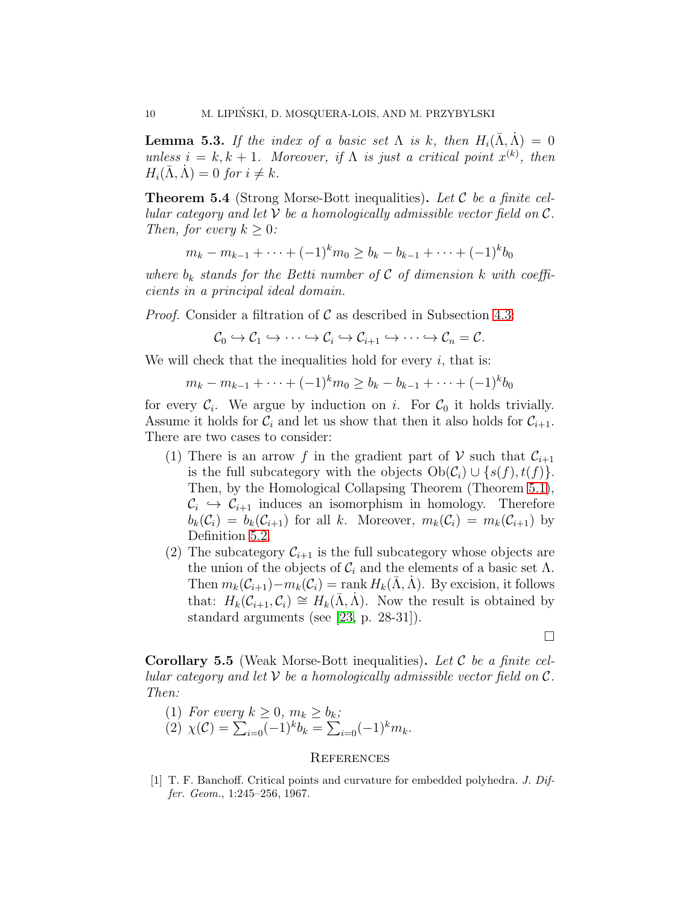**Lemma 5.3.** If the index of a basic set  $\Lambda$  is k, then  $H_i(\bar{\Lambda}, \bar{\Lambda}) = 0$ unless  $i = k, k + 1$ . Moreover, if  $\Lambda$  is just a critical point  $x^{(k)}$ , then  $H_i(\bar{\Lambda}, \dot{\Lambda}) = 0$  for  $i \neq k$ .

**Theorem 5.4** (Strong Morse-Bott inequalities). Let  $\mathcal C$  be a finite cellular category and let  $\mathcal V$  be a homologically admissible vector field on  $\mathcal C$ . Then, for every  $k \geq 0$ :

$$
m_k - m_{k-1} + \dots + (-1)^k m_0 \ge b_k - b_{k-1} + \dots + (-1)^k b_0
$$

where  $b_k$  stands for the Betti number of C of dimension k with coefficients in a principal ideal domain.

*Proof.* Consider a filtration of  $\mathcal C$  as described in Subsection [4.3:](#page-7-2)

$$
\mathcal{C}_0 \hookrightarrow \mathcal{C}_1 \hookrightarrow \cdots \hookrightarrow \mathcal{C}_i \hookrightarrow \mathcal{C}_{i+1} \hookrightarrow \cdots \hookrightarrow \mathcal{C}_n = \mathcal{C}.
$$

We will check that the inequalities hold for every  $i$ , that is:

$$
m_k - m_{k-1} + \dots + (-1)^k m_0 \ge b_k - b_{k-1} + \dots + (-1)^k b_0
$$

for every  $C_i$ . We argue by induction on i. For  $C_0$  it holds trivially. Assume it holds for  $\mathcal{C}_i$  and let us show that then it also holds for  $\mathcal{C}_{i+1}$ . There are two cases to consider:

- (1) There is an arrow f in the gradient part of V such that  $\mathcal{C}_{i+1}$ is the full subcategory with the objects  $Ob(\mathcal{C}_i) \cup \{s(f),t(f)\}.$ Then, by the Homological Collapsing Theorem (Theorem [5.1\)](#page-8-0),  $\mathcal{C}_i \hookrightarrow \mathcal{C}_{i+1}$  induces an isomorphism in homology. Therefore  $b_k(\mathcal{C}_i) = b_k(\mathcal{C}_{i+1})$  for all k. Moreover,  $m_k(\mathcal{C}_i) = m_k(\mathcal{C}_{i+1})$  by Definition [5.2.](#page-8-1)
- (2) The subcategory  $\mathcal{C}_{i+1}$  is the full subcategory whose objects are the union of the objects of  $\mathcal{C}_i$  and the elements of a basic set  $\Lambda$ . Then  $m_k(\mathcal{C}_{i+1})-m_k(\mathcal{C}_i) = \text{rank } H_k(\Lambda, \Lambda)$ . By excision, it follows that:  $H_k(\mathcal{C}_{i+1}, \mathcal{C}_i) \cong H_k(\Lambda, \Lambda)$ . Now the result is obtained by standard arguments (see [\[23,](#page-10-6) p. 28-31]).

 $\Box$ 

**Corollary 5.5** (Weak Morse-Bott inequalities). Let  $\mathcal C$  be a finite cellular category and let  $V$  be a homologically admissible vector field on  $\mathcal{C}$ . Then:

(1) For every 
$$
k \ge 0
$$
,  $m_k \ge b_k$ ;  
(2)  $\chi(\mathcal{C}) = \sum_{i=0}^{k-1} (-1)^k b_k = \sum_{i=0}^{k-1} (-1)^k m_k$ .

#### **REFERENCES**

<span id="page-9-0"></span>[1] T. F. Banchoff. Critical points and curvature for embedded polyhedra. J. Differ. Geom., 1:245–256, 1967.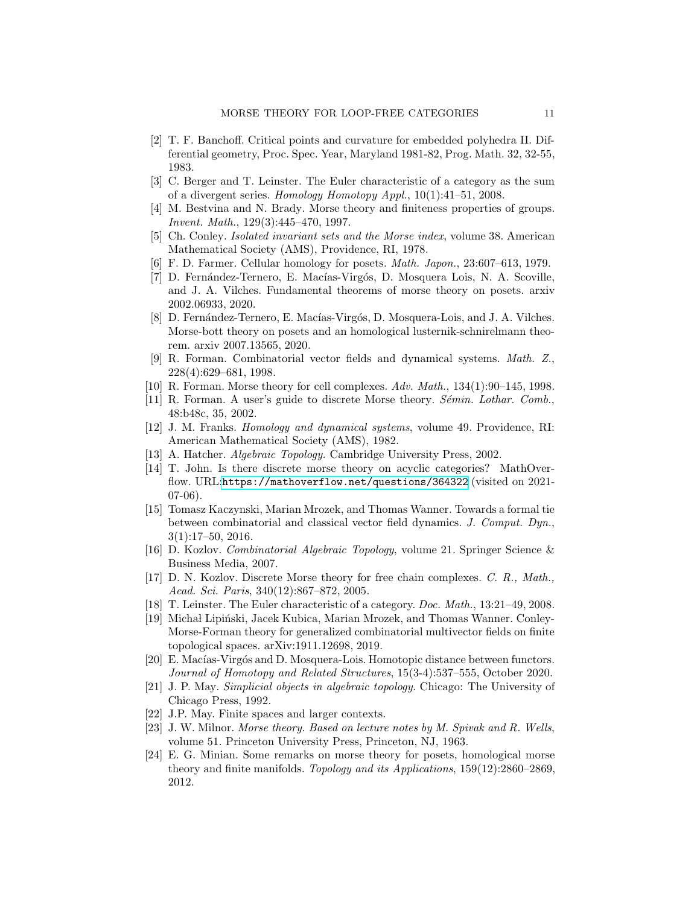- <span id="page-10-7"></span>[2] T. F. Banchoff. Critical points and curvature for embedded polyhedra II. Differential geometry, Proc. Spec. Year, Maryland 1981-82, Prog. Math. 32, 32-55, 1983.
- <span id="page-10-1"></span>[3] C. Berger and T. Leinster. The Euler characteristic of a category as the sum of a divergent series. Homology Homotopy Appl.,  $10(1):41-51$ , 2008.
- <span id="page-10-8"></span>[4] M. Bestvina and N. Brady. Morse theory and finiteness properties of groups. Invent. Math., 129(3):445–470, 1997.
- <span id="page-10-22"></span>[5] Ch. Conley. Isolated invariant sets and the Morse index, volume 38. American Mathematical Society (AMS), Providence, RI, 1978.
- <span id="page-10-17"></span><span id="page-10-12"></span>[6] F. D. Farmer. Cellular homology for posets. Math. Japon., 23:607–613, 1979.
- [7] D. Fernández-Ternero, E. Macías-Virgós, D. Mosquera Lois, N. A. Scoville, and J. A. Vilches. Fundamental theorems of morse theory on posets. arxiv 2002.06933, 2020.
- <span id="page-10-13"></span>[8] D. Fernández-Ternero, E. Macías-Virgós, D. Mosquera-Lois, and J. A. Vilches. Morse-bott theory on posets and an homological lusternik-schnirelmann theorem. arxiv 2007.13565, 2020.
- <span id="page-10-18"></span>[9] R. Forman. Combinatorial vector fields and dynamical systems. Math. Z., 228(4):629–681, 1998.
- <span id="page-10-10"></span><span id="page-10-9"></span>[10] R. Forman. Morse theory for cell complexes. Adv. Math., 134(1):90–145, 1998.
- <span id="page-10-21"></span>[11] R. Forman. A user's guide to discrete Morse theory.  $Sémin$ . Lothar. Comb., 48:b48c, 35, 2002.
- [12] J. M. Franks. Homology and dynamical systems, volume 49. Providence, RI: American Mathematical Society (AMS), 1982.
- <span id="page-10-16"></span><span id="page-10-0"></span>[13] A. Hatcher. Algebraic Topology. Cambridge University Press, 2002.
- [14] T. John. Is there discrete morse theory on acyclic categories? MathOverflow. URL:<https://mathoverflow.net/questions/364322> (visited on 2021- 07-06).
- <span id="page-10-19"></span>[15] Tomasz Kaczynski, Marian Mrozek, and Thomas Wanner. Towards a formal tie between combinatorial and classical vector field dynamics. J. Comput. Dyn., 3(1):17–50, 2016.
- <span id="page-10-4"></span>[16] D. Kozlov. Combinatorial Algebraic Topology, volume 21. Springer Science & Business Media, 2007.
- <span id="page-10-11"></span>[17] D. N. Kozlov. Discrete Morse theory for free chain complexes. C. R., Math., Acad. Sci. Paris, 340(12):867–872, 2005.
- <span id="page-10-20"></span><span id="page-10-2"></span>[18] T. Leinster. The Euler characteristic of a category. Doc. Math., 13:21–49, 2008.
- [19] Michał Lipiński, Jacek Kubica, Marian Mrozek, and Thomas Wanner. Conley-Morse-Forman theory for generalized combinatorial multivector fields on finite topological spaces. arXiv:1911.12698, 2019.
- <span id="page-10-3"></span>[20] E. Macías-Virgós and D. Mosquera-Lois. Homotopic distance between functors. Journal of Homotopy and Related Structures, 15(3-4):537–555, October 2020.
- <span id="page-10-15"></span>[21] J. P. May. Simplicial objects in algebraic topology. Chicago: The University of Chicago Press, 1992.
- <span id="page-10-6"></span><span id="page-10-5"></span>[22] J.P. May. Finite spaces and larger contexts.
- [23] J. W. Milnor. Morse theory. Based on lecture notes by M. Spivak and R. Wells, volume 51. Princeton University Press, Princeton, NJ, 1963.
- <span id="page-10-14"></span>[24] E. G. Minian. Some remarks on morse theory for posets, homological morse theory and finite manifolds. Topology and its Applications, 159(12):2860–2869, 2012.